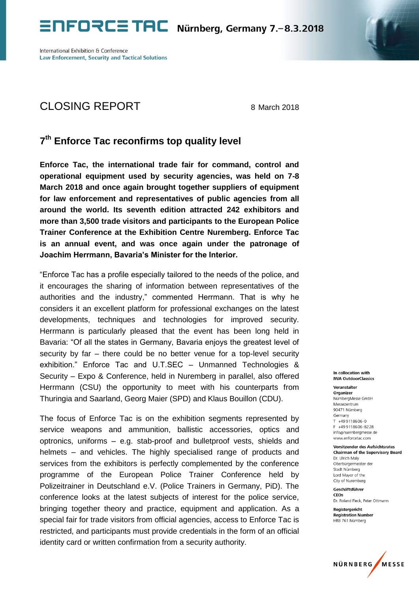International Exhibition & Conference **Law Enforcement, Security and Tactical Solutions** 

## CLOSING REPORT 8 March 2018

## **7 th Enforce Tac reconfirms top quality level**

**Enforce Tac, the international trade fair for command, control and operational equipment used by security agencies, was held on 7-8 March 2018 and once again brought together suppliers of equipment for law enforcement and representatives of public agencies from all around the world. Its seventh edition attracted 242 exhibitors and more than 3,500 trade visitors and participants to the European Police Trainer Conference at the Exhibition Centre Nuremberg. Enforce Tac is an annual event, and was once again under the patronage of Joachim Herrmann, Bavaria's Minister for the Interior.**

"Enforce Tac has a profile especially tailored to the needs of the police, and it encourages the sharing of information between representatives of the authorities and the industry," commented Herrmann. That is why he considers it an excellent platform for professional exchanges on the latest developments, techniques and technologies for improved security. Herrmann is particularly pleased that the event has been long held in Bavaria: "Of all the states in Germany, Bavaria enjoys the greatest level of security by far – there could be no better venue for a top-level security exhibition." Enforce Tac and U.T.SEC – Unmanned Technologies & Security – Expo & Conference, held in Nuremberg in parallel, also offered Herrmann (CSU) the opportunity to meet with his counterparts from Thuringia and Saarland, Georg Maier (SPD) and Klaus Bouillon (CDU).

The focus of Enforce Tac is on the exhibition segments represented by service weapons and ammunition, ballistic accessories, optics and optronics, uniforms – e.g. stab-proof and bulletproof vests, shields and helmets – and vehicles. The highly specialised range of products and services from the exhibitors is perfectly complemented by the conference programme of the European Police Trainer Conference held by Polizeitrainer in Deutschland e.V. (Police Trainers in Germany, PiD). The conference looks at the latest subjects of interest for the police service, bringing together theory and practice, equipment and application. As a special fair for trade visitors from official agencies, access to Enforce Tac is restricted, and participants must provide credentials in the form of an official identity card or written confirmation from a security authority.

In collocation with **IWA OutdoorClassics** 

Veranstalter Organizer NürnberaMesse GmbH Messezentrum 90471 Nürnberg Germany  $T + 499118606 - 0$ F +499118606-8228 info@nuernbergmesse.de www.enforcetac.com

**Vorsitzender des Aufsichtsrates Chairman of the Supervisory Board** Dr. Ulrich Maly Oberbürgermeister der Stadt Nürnberg Lord Mavor of the City of Nuremberg

Geschäftsführer CEO<sub>s</sub> Dr. Roland Fleck, Peter Ottmann

Registergericht **Registration Number** HRB 761 Nürnberg